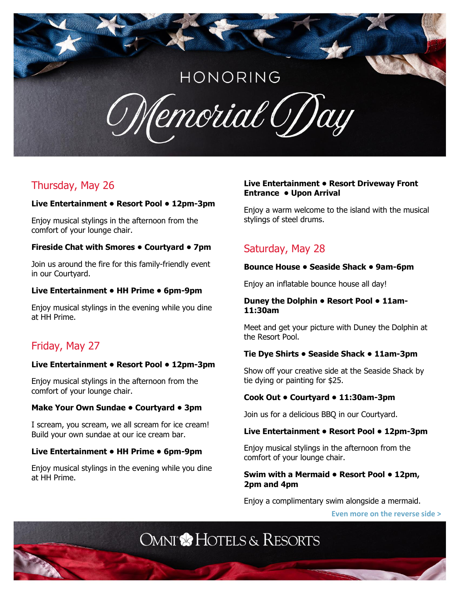# HONORING

Cemorial GDay

## Thursday, May 26

#### **Live Entertainment • Resort Pool • 12pm-3pm**

Enjoy musical stylings in the afternoon from the comfort of your lounge chair.

#### **Fireside Chat with Smores • Courtyard • 7pm**

Join us around the fire for this family-friendly event in our Courtyard.

#### **Live Entertainment • HH Prime • 6pm-9pm**

Enjoy musical stylings in the evening while you dine at HH Prime.

## Friday, May 27

#### **Live Entertainment • Resort Pool • 12pm-3pm**

Enjoy musical stylings in the afternoon from the comfort of your lounge chair.

#### **Make Your Own Sundae • Courtyard • 3pm**

I scream, you scream, we all scream for ice cream! Build your own sundae at our ice cream bar.

#### **Live Entertainment • HH Prime • 6pm-9pm**

Enjoy musical stylings in the evening while you dine at HH Prime.

#### **Live Entertainment • Resort Driveway Front Entrance • Upon Arrival**

Enjoy a warm welcome to the island with the musical stylings of steel drums.

## Saturday, May 28

#### **Bounce House • Seaside Shack • 9am-6pm**

Enjoy an inflatable bounce house all day!

#### **Duney the Dolphin • Resort Pool • 11am-11:30am**

Meet and get your picture with Duney the Dolphin at the Resort Pool.

#### **Tie Dye Shirts • Seaside Shack • 11am-3pm**

Show off your creative side at the Seaside Shack by tie dying or painting for \$25.

#### **Cook Out • Courtyard • 11:30am-3pm**

Join us for a delicious BBQ in our Courtyard.

#### **Live Entertainment • Resort Pool • 12pm-3pm**

Enjoy musical stylings in the afternoon from the comfort of your lounge chair.

#### **Swim with a Mermaid • Resort Pool • 12pm, 2pm and 4pm**

Enjoy a complimentary swim alongside a mermaid.

**Even more on the reverse side >**

**OMNI & HOTELS & RESORTS**